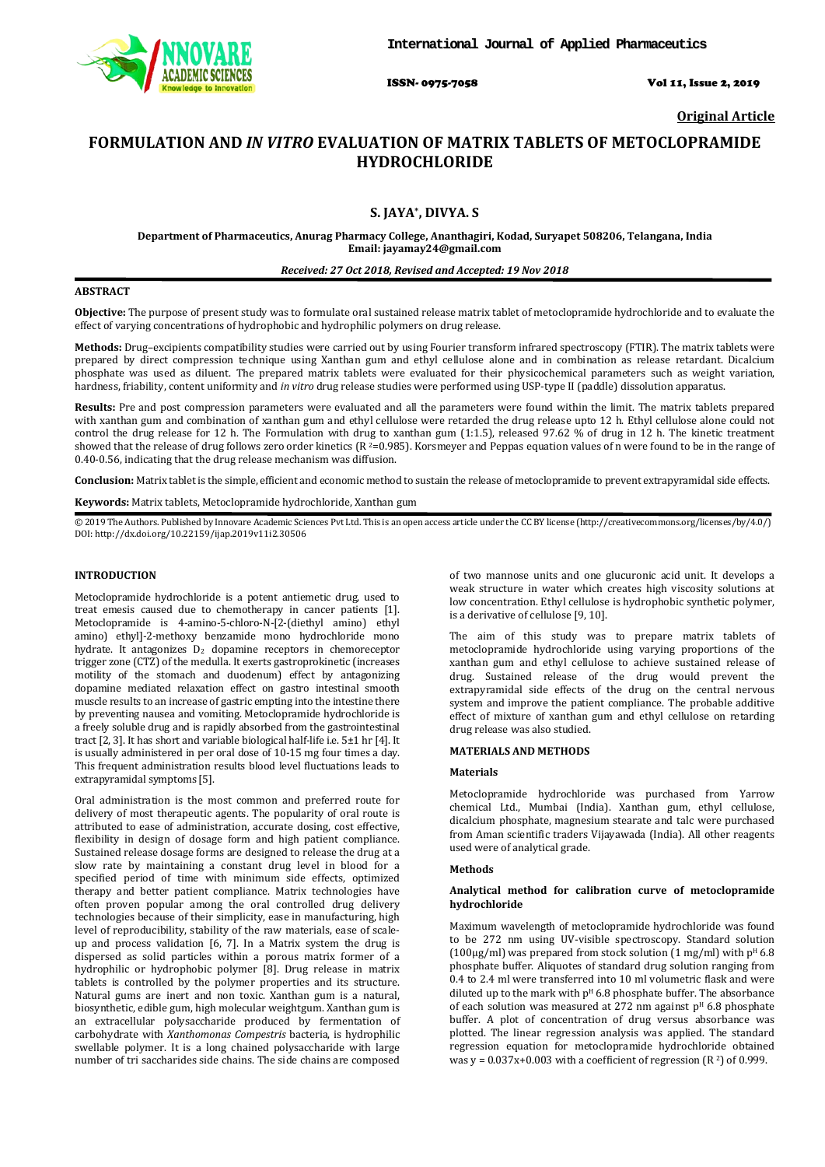

ISSN- 0975-7058 Vol 11, Issue 2, 2019

**Original Article**

# **FORMULATION AND** *IN VITRO* **EVALUATION OF MATRIX TABLETS OF METOCLOPRAMIDE HYDROCHLORIDE**

# **S. JAYA\* , DIVYA. S**

**Department of Pharmaceutics, Anurag Pharmacy College, Ananthagiri, Kodad, Suryapet 508206, Telangana, India Email: jayamay24@gmail.com**

## *Received: 27 Oct 2018, Revised and Accepted: 19 Nov 2018*

#### **ABSTRACT**

**Objective:** The purpose of present study was to formulate oral sustained release matrix tablet of metoclopramide hydrochloride and to evaluate the effect of varying concentrations of hydrophobic and hydrophilic polymers on drug release.

**Methods:** Drug–excipients compatibility studies were carried out by using Fourier transform infrared spectroscopy (FTIR). The matrix tablets were prepared by direct compression technique using Xanthan gum and ethyl cellulose alone and in combination as release retardant. Dicalcium phosphate was used as diluent. The prepared matrix tablets were evaluated for their physicochemical parameters such as weight variation, hardness, friability, content uniformity and *in vitro* drug release studies were performed using USP-type II (paddle) dissolution apparatus.

**Results:** Pre and post compression parameters were evaluated and all the parameters were found within the limit. The matrix tablets prepared with xanthan gum and combination of xanthan gum and ethyl cellulose were retarded the drug release upto 12 h. Ethyl cellulose alone could not control the drug release for 12 h. The Formulation with drug to xanthan gum (1:1.5), released 97.62 % of drug in 12 h. The kinetic treatment showed that the release of drug follows zero order kinetics (R  $^{2}$ =0.985). Korsmeyer and Peppas equation values of n were found to be in the range of 0.40-0.56, indicating that the drug release mechanism was diffusion.

**Conclusion:** Matrix tablet is the simple, efficient and economic method to sustain the release of metoclopramide to prevent extrapyramidal side effects.

**Keywords:** Matrix tablets, Metoclopramide hydrochloride, Xanthan gum

© 2019 The Authors. Published by Innovare Academic Sciences Pvt Ltd. This is an open access article under the CC BY license [\(http://creativecommons.org/licenses/by/4.0/\)](http://creativecommons.org/licenses/by/4.0/) DOI: http://dx.doi.org/10.22159/ijap.2019v11i2.30506

## **INTRODUCTION**

Metoclopramide hydrochloride is a potent antiemetic drug, used to treat emesis caused due to chemotherapy in cancer patients [1]. Metoclopramide is 4-amino-5-chloro-N-[2-(diethyl amino) ethyl amino) ethyl]-2-methoxy benzamide mono hydrochloride mono hydrate. It antagonizes  $D_2$  dopamine receptors in chemoreceptor trigger zone (CTZ) of the medulla. It exerts gastroprokinetic (increases motility of the stomach and duodenum) effect by antagonizing dopamine mediated relaxation effect on gastro intestinal smooth muscle results to an increase of gastric empting into the intestine there by preventing nausea and vomiting. Metoclopramide hydrochloride is a freely soluble drug and is rapidly absorbed from the gastrointestinal tract [2, 3]. It has short and variable biological half-life i.e. 5±1 hr [4]. It is usually administered in per oral dose of 10-15 mg four times a day. This frequent administration results blood level fluctuations leads to extrapyramidal symptoms [5].

Oral administration is the most common and preferred route for delivery of most therapeutic agents. The popularity of oral route is attributed to ease of administration, accurate dosing, cost effective, flexibility in design of dosage form and high patient compliance. Sustained release dosage forms are designed to release the drug at a slow rate by maintaining a constant drug level in blood for a specified period of time with minimum side effects, optimized therapy and better patient compliance. Matrix technologies have often proven popular among the oral controlled drug delivery technologies because of their simplicity, ease in manufacturing, high level of reproducibility, stability of the raw materials, ease of scaleup and process validation [6, 7]. In a Matrix system the drug is dispersed as solid particles within a porous matrix former of a hydrophilic or hydrophobic polymer [8]. Drug release in matrix tablets is controlled by the polymer properties and its structure. Natural gums are inert and non toxic. Xanthan gum is a natural, biosynthetic, edible gum, high molecular weightgum. Xanthan gum is an extracellular polysaccharide produced by fermentation of carbohydrate with *Xanthomonas Compestris* bacteria, is hydrophilic swellable polymer. It is a long chained polysaccharide with large number of tri saccharides side chains. The side chains are composed

of two mannose units and one glucuronic acid unit. It develops a weak structure in water which creates high viscosity solutions at low concentration. Ethyl cellulose is hydrophobic synthetic polymer, is a derivative of cellulose [9, 10].

The aim of this study was to prepare matrix tablets of metoclopramide hydrochloride using varying proportions of the xanthan gum and ethyl cellulose to achieve sustained release of drug. Sustained release of the drug would prevent the extrapyramidal side effects of the drug on the central nervous system and improve the patient compliance. The probable additive effect of mixture of xanthan gum and ethyl cellulose on retarding drug release was also studied.

# **MATERIALS AND METHODS**

#### **Materials**

Metoclopramide hydrochloride was purchased from Yarrow chemical Ltd., Mumbai (India). Xanthan gum, ethyl cellulose, dicalcium phosphate, magnesium stearate and talc were purchased from Aman scientific traders Vijayawada (India). All other reagents used were of analytical grade.

#### **Methods**

#### **Analytical method for calibration curve of metoclopramide hydrochloride**

Maximum wavelength of metoclopramide hydrochloride was found to be 272 nm using UV-visible spectroscopy. Standard solution ( $100\mu$ g/ml) was prepared from stock solution (1 mg/ml) with p<sup>H</sup> 6.8 phosphate buffer. Aliquotes of standard drug solution ranging from 0.4 to 2.4 ml were transferred into 10 ml volumetric flask and were diluted up to the mark with  $p<sup>H</sup> 6.8$  phosphate buffer. The absorbance of each solution was measured at 272 nm against  $p<sup>H</sup> 6.8$  phosphate buffer. A plot of concentration of drug versus absorbance was plotted. The linear regression analysis was applied. The standard regression equation for metoclopramide hydrochloride obtained was y =  $0.037x+0.003$  with a coefficient of regression (R<sup>2</sup>) of 0.999.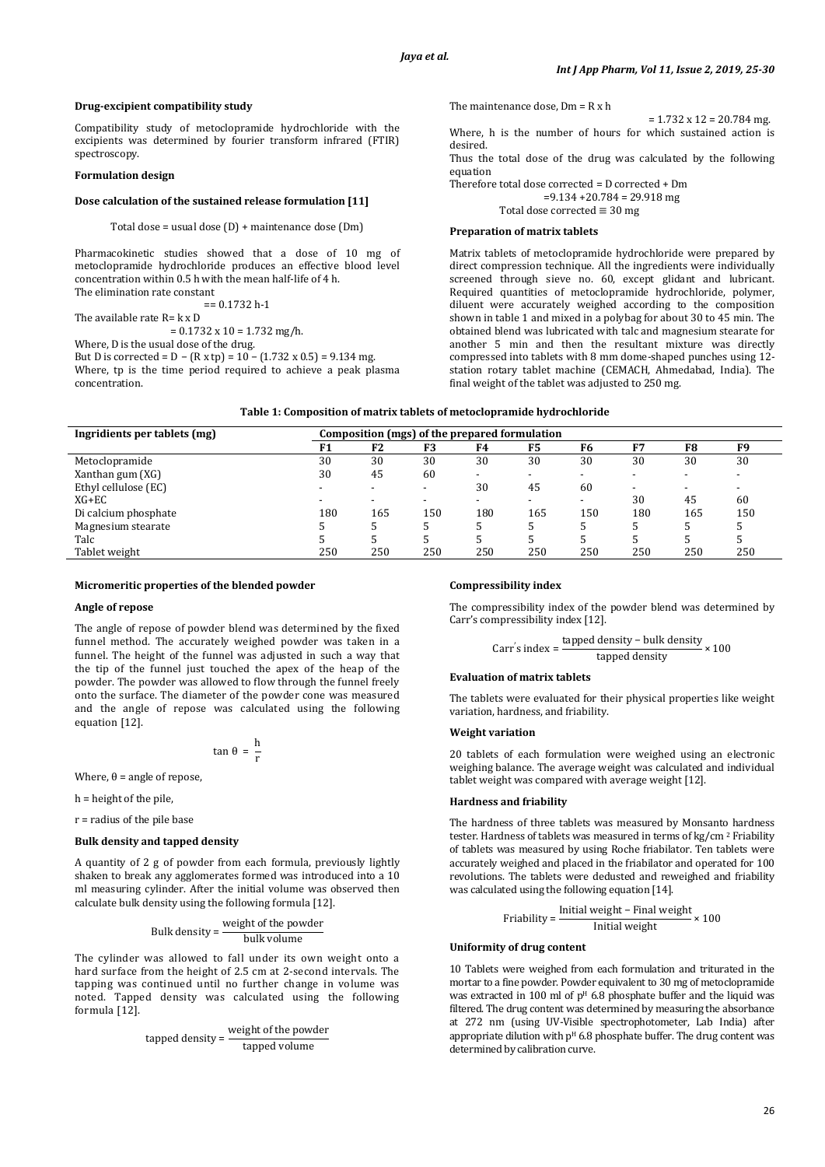#### **Drug-excipient compatibility study**

Compatibility study of metoclopramide hydrochloride with the excipients was determined by fourier transform infrared (FTIR) spectroscopy.

# **Formulation design**

#### **Dose calculation of the sustained release formulation [11]**

Total dose = usual dose (D) + maintenance dose (Dm)

Pharmacokinetic studies showed that a dose of 10 mg of metoclopramide hydrochloride produces an effective blood level concentration within 0.5 h with the mean half-life of 4 h. The elimination rate constant

 $== 0.1732 h-1$ 

The available rate R= k x D

 $= 0.1732 \times 10 = 1.732 \text{ mg/h}.$ 

Where, D is the usual dose of the drug.

But D is corrected = D – (R x tp) =  $10 - (1.732 \times 0.5) = 9.134$  mg. Where, tp is the time period required to achieve a peak plasma concentration.

The maintenance dose,  $Dm = R x h$ 

 $= 1.732$  x 12 = 20.784 mg. Where, h is the number of hours for which sustained action is desired.

Thus the total dose of the drug was calculated by the following equation

Therefore total dose corrected = D corrected + Dm  $= 9.134 + 20.784 = 29.918$  mg

Total dose corrected ≡ 30 mg

#### **Preparation of matrix tablets**

Matrix tablets of metoclopramide hydrochloride were prepared by direct compression technique. All the ingredients were individually screened through sieve no. 60, except glidant and lubricant. Required quantities of metoclopramide hydrochloride, polymer, diluent were accurately weighed according to the composition shown in table 1 and mixed in a polybag for about 30 to 45 min. The obtained blend was lubricated with talc and magnesium stearate for another 5 min and then the resultant mixture was directly compressed into tablets with 8 mm dome-shaped punches using 12 station rotary tablet machine (CEMACH, Ahmedabad, India). The final weight of the tablet was adjusted to 250 mg.

| Table 1: Composition of matrix tablets of metoclopramide hydrochloride |  |
|------------------------------------------------------------------------|--|
|------------------------------------------------------------------------|--|

| Ingridients per tablets (mg) | Composition (mgs) of the prepared formulation |                |     |     |     |     |           |     |     |
|------------------------------|-----------------------------------------------|----------------|-----|-----|-----|-----|-----------|-----|-----|
|                              | F1                                            | F <sub>2</sub> | F3  | F4  | F5  | F6  | <b>F7</b> | F8  | F9  |
| Metoclopramide               | 30                                            | 30             | 30  | 30  | 30  | 30  | 30        | 30  | 30  |
| Xanthan gum (XG)             | 30                                            | 45             | 60  | -   | -   |     |           |     |     |
| Ethyl cellulose (EC)         |                                               |                |     | 30  | 45  | 60  |           |     |     |
| XG+EC                        |                                               |                |     |     |     |     | 30        | 45  | 60  |
| Di calcium phosphate         | 180                                           | 165            | 150 | 180 | 165 | 150 | 180       | 165 | 150 |
| Magnesium stearate           |                                               |                |     |     |     |     |           |     |     |
| Talc                         |                                               |                |     |     |     |     |           |     |     |
| Tablet weight                | 250                                           | 250            | 250 | 250 | 250 | 250 | 250       | 250 | 250 |

#### **Micromeritic properties of the blended powder**

#### **Angle of repose**

The angle of repose of powder blend was determined by the fixed funnel method. The accurately weighed powder was taken in a funnel. The height of the funnel was adjusted in such a way that the tip of the funnel just touched the apex of the heap of the powder. The powder was allowed to flow through the funnel freely onto the surface. The diameter of the powder cone was measured and the angle of repose was calculated using the following equation [12].

$$
\tan \theta = \frac{h}{r}
$$

Where,  $θ$  = angle of repose,

h = height of the pile,

r = radius of the pile base

## **Bulk density and tapped density**

A quantity of 2 g of powder from each formula, previously lightly shaken to break any agglomerates formed was introduced into a 10 ml measuring cylinder. After the initial volume was observed then calculate bulk density using the following formula [12].

Bulk density = 
$$
\frac{\text{weight of the powder}}{\text{bulk volume}}
$$

The cylinder was allowed to fall under its own weight onto a hard surface from the height of 2.5 cm at 2-second intervals. The tapping was continued until no further change in volume was noted. Tapped density was calculated using the following formula [12].

$$
tapped density = \frac{weight of the powder}{tapped volume}
$$

#### **Compressibility index**

The compressibility index of the powder blend was determined by Carr's compressibility index [12].

Carr's index = 
$$
\frac{\text{tapped density} - \text{bulk density}}{\text{tapped density}} \times 100
$$

#### **Evaluation of matrix tablets**

The tablets were evaluated for their physical properties like weight variation, hardness, and friability.

## **Weight variation**

20 tablets of each formulation were weighed using an electronic weighing balance. The average weight was calculated and individual tablet weight was compared with average weight [12].

#### **Hardness and friability**

The hardness of three tablets was measured by Monsanto hardness tester. Hardness of tablets was measured in terms of kg/cm 2 Friability of tablets was measured by using Roche friabilator. Ten tablets were accurately weighed and placed in the friabilator and operated for 100 revolutions. The tablets were dedusted and reweighed and friability was calculated using the following equation [14].

$$
Friability = \frac{Initial weight - Final weight}{Initial weight} \times 100
$$

#### **Uniformity of drug content**

10 Tablets were weighed from each formulation and triturated in the mortar to a fine powder. Powder equivalent to 30 mg of metoclopramide was extracted in 100 ml of  $p<sup>H</sup>$  6.8 phosphate buffer and the liquid was filtered. The drug content was determined by measuring the absorbance at 272 nm (using UV-Visible spectrophotometer, Lab India) after appropriate dilution with  $p<sup>H</sup> 6.8$  phosphate buffer. The drug content was determined by calibration curve.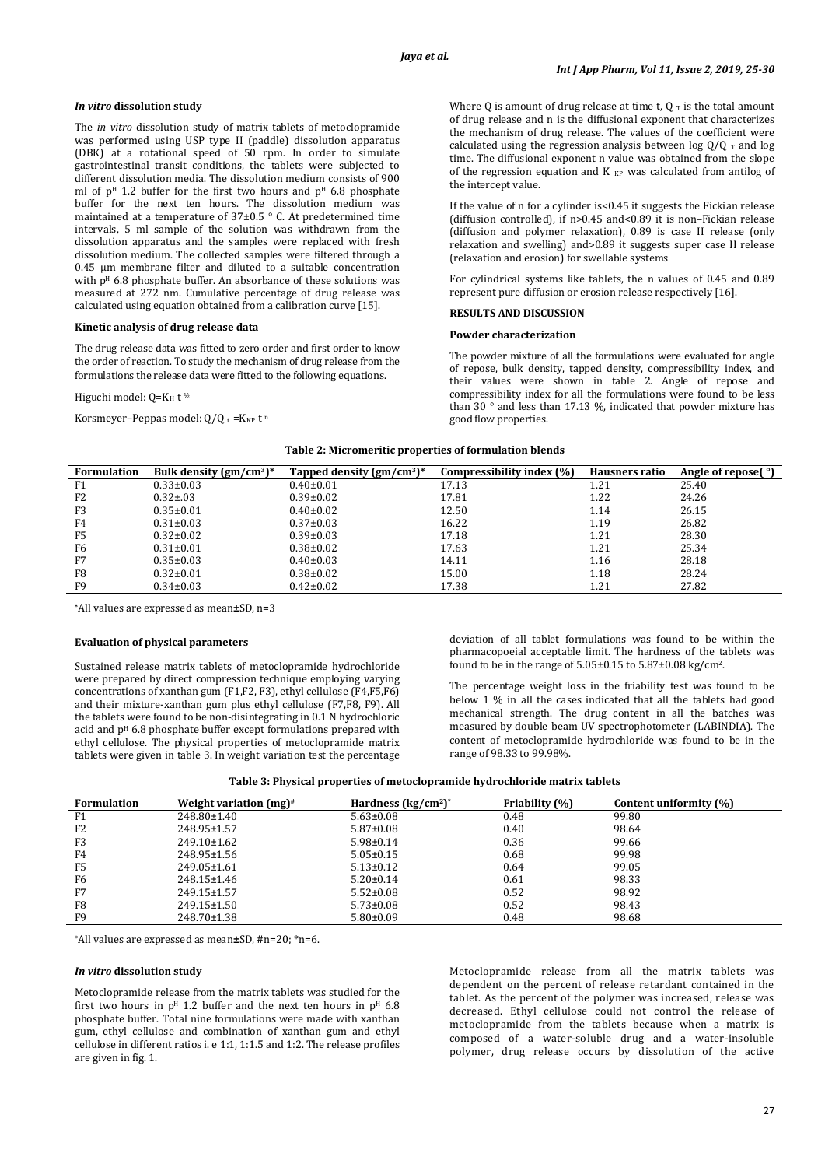#### *In vitro* **dissolution study**

The *in vitro* dissolution study of matrix tablets of metoclopramide was performed using USP type II (paddle) dissolution apparatus (DBK) at a rotational speed of 50 rpm. In order to simulate gastrointestinal transit conditions, the tablets were subjected to different dissolution media. The dissolution medium consists of 900 ml of  $p$ <sup>H</sup> 1.2 buffer for the first two hours and  $p$ <sup>H</sup> 6.8 phosphate buffer for the next ten hours. The dissolution medium was maintained at a temperature of 37±0.5 ° C. At predetermined time intervals, 5 ml sample of the solution was withdrawn from the dissolution apparatus and the samples were replaced with fresh dissolution medium. The collected samples were filtered through a 0.45 µm membrane filter and diluted to a suitable concentration with  $p<sup>H</sup>$  6.8 phosphate buffer. An absorbance of these solutions was measured at 272 nm. Cumulative percentage of drug release was calculated using equation obtained from a calibration curve [15].

## **Kinetic analysis of drug release data**

The drug release data was fitted to zero order and first order to know the order of reaction. To study the mechanism of drug release from the formulations the release data were fitted to the following equations.

#### Higuchi model: Q= $K_H t \frac{1}{2}$

Korsmeyer–Peppas model:  $Q/Q_t$  =K<sub>KP</sub> t<sup>n</sup>

Where Q is amount of drug release at time t, Q  $_T$  is the total amount of drug release and n is the diffusional exponent that characterizes the mechanism of drug release. The values of the coefficient were calculated using the regression analysis between log  $Q/Q$   $_T$  and log time. The diffusional exponent n value was obtained from the slope of the regression equation and  $K_{KP}$  was calculated from antilog of the intercept value.

If the value of n for a cylinder is<0.45 it suggests the Fickian release (diffusion controlled), if  $n > 0.45$  and  $< 0.89$  it is non-Fickian release (diffusion and polymer relaxation), 0.89 is case II release (only relaxation and swelling) and>0.89 it suggests super case II release (relaxation and erosion) for swellable systems

For cylindrical systems like tablets, the n values of 0.45 and 0.89 represent pure diffusion or erosion release respectively [16].

#### **RESULTS AND DISCUSSION**

#### **Powder characterization**

The powder mixture of all the formulations were evaluated for angle of repose, bulk density, tapped density, compressibility index, and their values were shown in table 2. Angle of repose and compressibility index for all the formulations were found to be less than 30 ° and less than 17.13 %, indicated that powder mixture has good flow properties.

#### **Table 2: Micromeritic properties of formulation blends**

| <b>Formulation</b> | Bulk density $(gm/cm^3)^*$ | Tapped density $(gm/cm3)*$ | Compressibility index (%) | <b>Hausners ratio</b> | Angle of repose $\binom{8}{1}$ |
|--------------------|----------------------------|----------------------------|---------------------------|-----------------------|--------------------------------|
| F1                 | $0.33 \pm 0.03$            | $0.40 \pm 0.01$            | 17.13                     | 1.21                  | 25.40                          |
| F <sub>2</sub>     | $0.32 \pm 0.3$             | $0.39 \pm 0.02$            | 17.81                     | 1.22                  | 24.26                          |
| F3                 | $0.35 \pm 0.01$            | $0.40 \pm 0.02$            | 12.50                     | 1.14                  | 26.15                          |
| F4                 | $0.31 \pm 0.03$            | $0.37 \pm 0.03$            | 16.22                     | 1.19                  | 26.82                          |
| F <sub>5</sub>     | $0.32 \pm 0.02$            | $0.39 \pm 0.03$            | 17.18                     | 1.21                  | 28.30                          |
| F6                 | $0.31 \pm 0.01$            | $0.38 \pm 0.02$            | 17.63                     | 1.21                  | 25.34                          |
| F7                 | $0.35 \pm 0.03$            | $0.40 \pm 0.03$            | 14.11                     | 1.16                  | 28.18                          |
| F8                 | $0.32 \pm 0.01$            | $0.38 \pm 0.02$            | 15.00                     | 1.18                  | 28.24                          |
| F9                 | $0.34 \pm 0.03$            | $0.42 \pm 0.02$            | 17.38                     | 1.21                  | 27.82                          |

**\*** All values are expressed as mean**±**SD, n=3

## **Evaluation of physical parameters**

Sustained release matrix tablets of metoclopramide hydrochloride were prepared by direct compression technique employing varying concentrations of xanthan gum (F1,F2, F3), ethyl cellulose (F4,F5,F6) and their mixture-xanthan gum plus ethyl cellulose (F7,F8, F9). All the tablets were found to be non-disintegrating in 0.1 N hydrochloric acid and  $p<sup>H</sup>$  6.8 phosphate buffer except formulations prepared with ethyl cellulose. The physical properties of metoclopramide matrix tablets were given in table 3. In weight variation test the percentage deviation of all tablet formulations was found to be within the pharmacopoeial acceptable limit. The hardness of the tablets was found to be in the range of  $5.05\pm0.15$  to  $5.87\pm0.08$  kg/cm<sup>2</sup>.

The percentage weight loss in the friability test was found to be below 1 % in all the cases indicated that all the tablets had good mechanical strength. The drug content in all the batches was measured by double beam UV spectrophotometer (LABINDIA). The content of metoclopramide hydrochloride was found to be in the range of 98.33 to 99.98%.

|  | Table 3: Physical properties of metoclopramide hydrochloride matrix tablets |
|--|-----------------------------------------------------------------------------|
|  |                                                                             |

| <b>Formulation</b> | Weight variation $(mg)^*$ | Hardness $(kg/cm2)*$ | Friability (%) | Content uniformity (%) |
|--------------------|---------------------------|----------------------|----------------|------------------------|
| F1                 | 248.80±1.40               | $5.63 \pm 0.08$      | 0.48           | 99.80                  |
| F <sub>2</sub>     | $248.95 \pm 1.57$         | $5.87 \pm 0.08$      | 0.40           | 98.64                  |
| F3                 | $249.10 \pm 1.62$         | $5.98 \pm 0.14$      | 0.36           | 99.66                  |
| F4                 | $248.95 \pm 1.56$         | $5.05 \pm 0.15$      | 0.68           | 99.98                  |
| F5                 | $249.05 \pm 1.61$         | $5.13 \pm 0.12$      | 0.64           | 99.05                  |
| F6                 | $248.15 \pm 1.46$         | $5.20 \pm 0.14$      | 0.61           | 98.33                  |
| F7                 | $249.15 \pm 1.57$         | $5.52 \pm 0.08$      | 0.52           | 98.92                  |
| F8                 | $249.15 \pm 1.50$         | $5.73 \pm 0.08$      | 0.52           | 98.43                  |
| F9                 | 248.70±1.38               | $5.80 \pm 0.09$      | 0.48           | 98.68                  |

**\***All values are expressed as mean**±**SD, #n=20; \*n=6.

#### *In vitro* **dissolution study**

Metoclopramide release from the matrix tablets was studied for the first two hours in  $p<sup>H</sup>$  1.2 buffer and the next ten hours in  $p<sup>H</sup>$  6.8 phosphate buffer. Total nine formulations were made with xanthan gum, ethyl cellulose and combination of xanthan gum and ethyl cellulose in different ratios i. e 1:1, 1:1.5 and 1:2. The release profiles are given in fig. 1.

Metoclopramide release from all the matrix tablets was dependent on the percent of release retardant contained in the tablet. As the percent of the polymer was increased, release was decreased. Ethyl cellulose could not control the release of metoclopramide from the tablets because when a matrix is composed of a water-soluble drug and a water-insoluble polymer, drug release occurs by dissolution of the active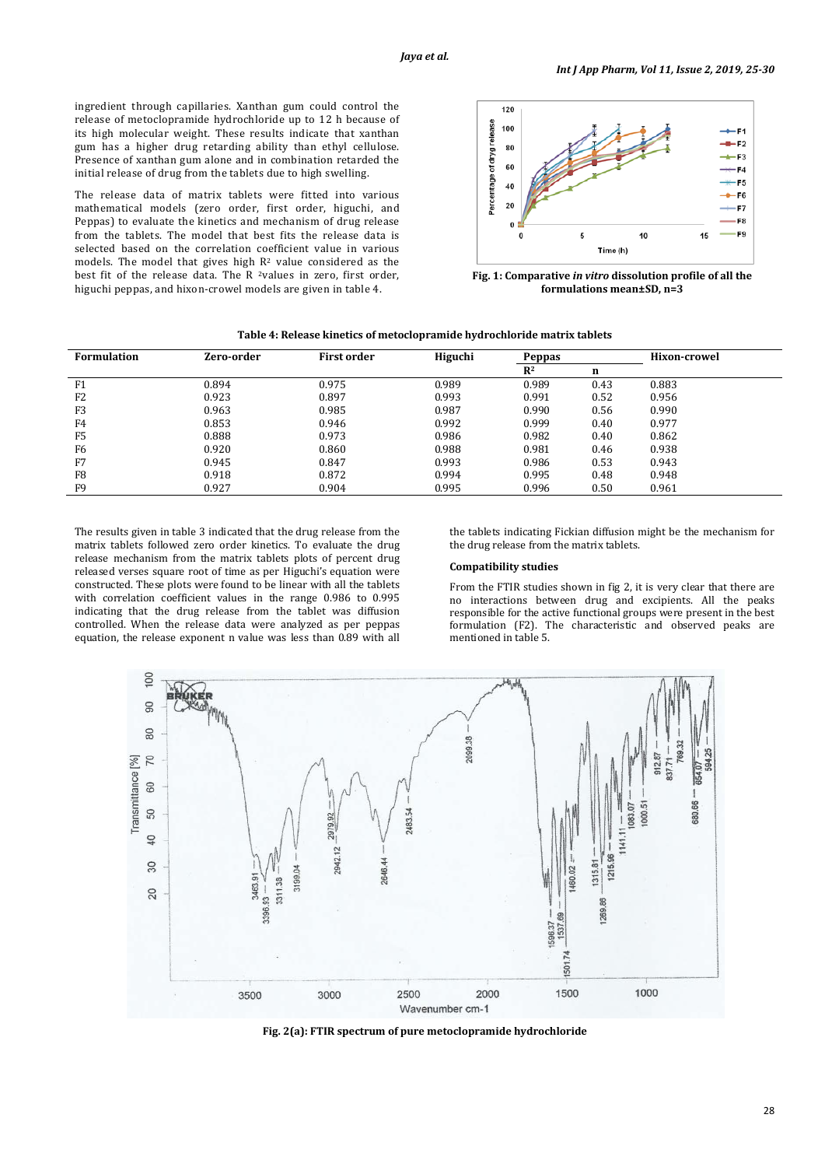ingredient through capillaries. Xanthan gum could control the release of metoclopramide hydrochloride up to 12 h because of its high molecular weight. These results indicate that xanthan gum has a higher drug retarding ability than ethyl cellulose. Presence of xanthan gum alone and in combination retarded the initial release of drug from the tablets due to high swelling.

The release data of matrix tablets were fitted into various mathematical models (zero order, first order, higuchi, and Peppas) to evaluate the kinetics and mechanism of drug release from the tablets. The model that best fits the release data is selected based on the correlation coefficient value in various models. The model that gives high  $R^2$  value considered as the best fit of the release data. The R 2values in zero, first order, higuchi peppas, and hixon-crowel models are given in table 4.



**Fig. 1: Comparative** *in vitro* **dissolution profile of all the formulations mean±SD, n=3**

| Table 4: Release kinetics of metoclopramide hydrochloride matrix tablets |
|--------------------------------------------------------------------------|
|--------------------------------------------------------------------------|

| <b>Formulation</b> | Zero-order | <b>First order</b> | Higuchi | Peppas         |      | Hixon-crowel |  |
|--------------------|------------|--------------------|---------|----------------|------|--------------|--|
|                    |            |                    |         | $\mathbb{R}^2$ | n    |              |  |
| F <sub>1</sub>     | 0.894      | 0.975              | 0.989   | 0.989          | 0.43 | 0.883        |  |
| F <sub>2</sub>     | 0.923      | 0.897              | 0.993   | 0.991          | 0.52 | 0.956        |  |
| F <sub>3</sub>     | 0.963      | 0.985              | 0.987   | 0.990          | 0.56 | 0.990        |  |
| F4                 | 0.853      | 0.946              | 0.992   | 0.999          | 0.40 | 0.977        |  |
| F <sub>5</sub>     | 0.888      | 0.973              | 0.986   | 0.982          | 0.40 | 0.862        |  |
| F6                 | 0.920      | 0.860              | 0.988   | 0.981          | 0.46 | 0.938        |  |
| F7                 | 0.945      | 0.847              | 0.993   | 0.986          | 0.53 | 0.943        |  |
| F <sub>8</sub>     | 0.918      | 0.872              | 0.994   | 0.995          | 0.48 | 0.948        |  |
| F <sub>9</sub>     | 0.927      | 0.904              | 0.995   | 0.996          | 0.50 | 0.961        |  |

The results given in table 3 indicated that the drug release from the matrix tablets followed zero order kinetics. To evaluate the drug release mechanism from the matrix tablets plots of percent drug released verses square root of time as per Higuchi's equation were constructed. These plots were found to be linear with all the tablets with correlation coefficient values in the range 0.986 to 0.995 indicating that the drug release from the tablet was diffusion controlled. When the release data were analyzed as per peppas equation, the release exponent n value was less than 0.89 with all

the tablets indicating Fickian diffusion might be the mechanism for the drug release from the matrix tablets.

#### **Compatibility studies**

From the FTIR studies shown in fig 2, it is very clear that there are no interactions between drug and excipients. All the peaks responsible for the active functional groups were present in the best formulation (F2). The characteristic and observed peaks are mentioned in table 5.



**Fig. 2(a): FTIR spectrum of pure metoclopramide hydrochloride**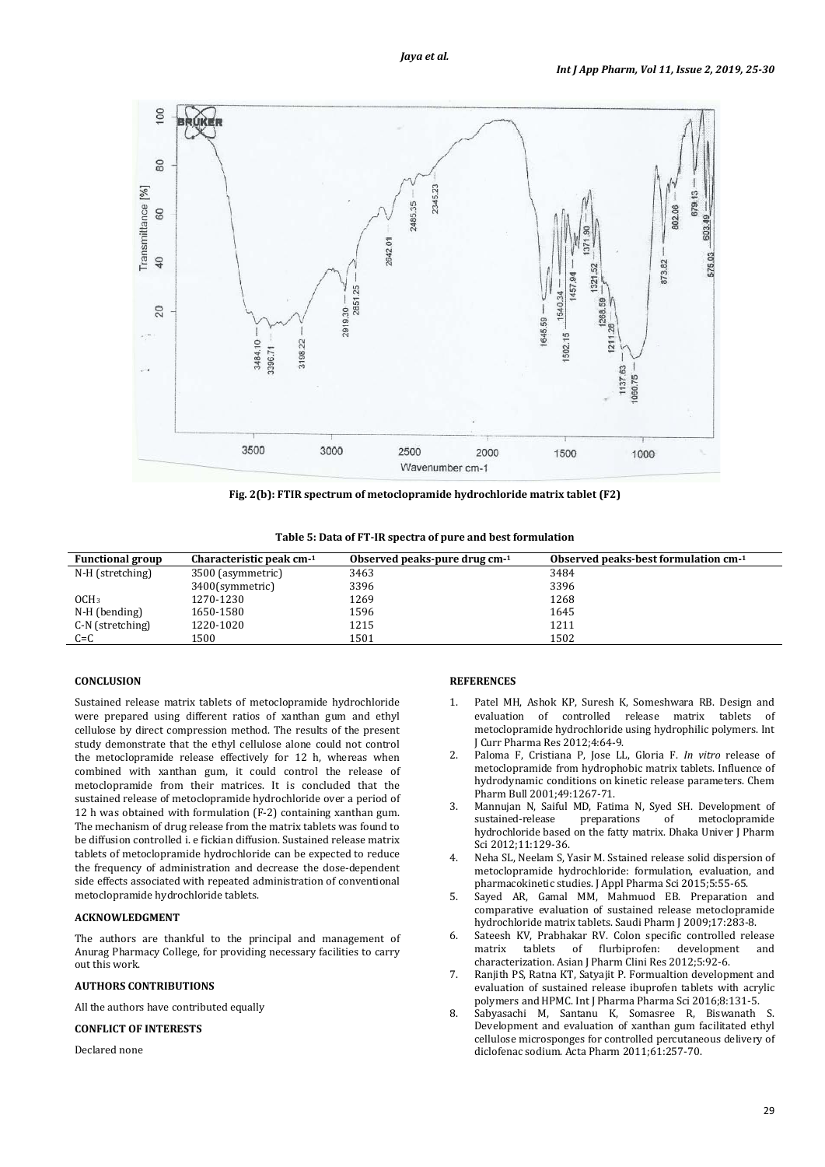

**Fig. 2(b): FTIR spectrum of metoclopramide hydrochloride matrix tablet (F2)**

**Table 5: Data of FT-IR spectra of pure and best formulation**

| <b>Functional group</b> | Characteristic peak cm-1 | Observed peaks-pure drug cm-1 | Observed peaks-best formulation cm-1 |
|-------------------------|--------------------------|-------------------------------|--------------------------------------|
| N-H (stretching)        | 3500 (asymmetric)        | 3463                          | 3484                                 |
|                         | 3400(symmetric)          | 3396                          | 3396                                 |
| OCH <sub>3</sub>        | 1270-1230                | 1269                          | 1268                                 |
| N-H (bending)           | 1650-1580                | 1596                          | 1645                                 |
| C-N (stretching)        | 1220-1020                | 1215                          | 1211                                 |
| $C = C$                 | 1500                     | 1501                          | 1502                                 |

# **CONCLUSION**

Sustained release matrix tablets of metoclopramide hydrochloride were prepared using different ratios of xanthan gum and ethyl cellulose by direct compression method. The results of the present study demonstrate that the ethyl cellulose alone could not control the metoclopramide release effectively for 12 h, whereas when combined with xanthan gum, it could control the release of metoclopramide from their matrices. It is concluded that the sustained release of metoclopramide hydrochloride over a period of 12 h was obtained with formulation (F-2) containing xanthan gum. The mechanism of drug release from the matrix tablets was found to be diffusion controlled i. e fickian diffusion. Sustained release matrix tablets of metoclopramide hydrochloride can be expected to reduce the frequency of administration and decrease the dose-dependent side effects associated with repeated administration of conventional metoclopramide hydrochloride tablets.

# **ACKNOWLEDGMENT**

The authors are thankful to the principal and management of Anurag Pharmacy College, for providing necessary facilities to carry out this work.

## **AUTHORS CONTRIBUTIONS**

All the authors have contributed equally

# **CONFLICT OF INTERESTS**

Declared none

# **REFERENCES**

- 1. Patel MH, Ashok KP, Suresh K, Someshwara RB. Design and evaluation of controlled release matrix tablets of metoclopramide hydrochloride using hydrophilic polymers. Int J Curr Pharma Res 2012;4:64-9.
- 2. Paloma F, Cristiana P, Jose LL, Gloria F. *In vitro* release of metoclopramide from hydrophobic matrix tablets. Influence of hydrodynamic conditions on kinetic release parameters. Chem Pharm Bull 2001;49:1267-71.
- 3. Mannujan N, Saiful MD, Fatima N, Syed SH. Development of sustained-release preparations of metoclopramide hydrochloride based on the fatty matrix. Dhaka Univer J Pharm Sci 2012;11:129-36.
- 4. Neha SL, Neelam S, Yasir M. Sstained release solid dispersion of metoclopramide hydrochloride: formulation, evaluation, and pharmacokinetic studies. J Appl Pharma Sci 2015;5:55-65.
- 5. Sayed AR, Gamal MM, Mahmuod EB. Preparation and comparative evaluation of sustained release metoclopramide hydrochloride matrix tablets. Saudi Pharm J 2009;17:283-8.
- 6. Sateesh KV, Prabhakar RV. Colon specific controlled release matrix tablets of flurbiprofen: development and characterization. Asian J Pharm Clini Res 2012;5:92-6.
- 7. Ranjith PS, Ratna KT, Satyajit P. Formualtion development and evaluation of sustained release ibuprofen tablets with acrylic polymers and HPMC. Int J Pharma Pharma Sci 2016;8:131-5.
- 8. Sabyasachi M, Santanu K, Somasree R, Biswanath S. Development and evaluation of xanthan gum facilitated ethyl cellulose microsponges for controlled percutaneous delivery of diclofenac sodium. Acta Pharm 2011;61:257-70.